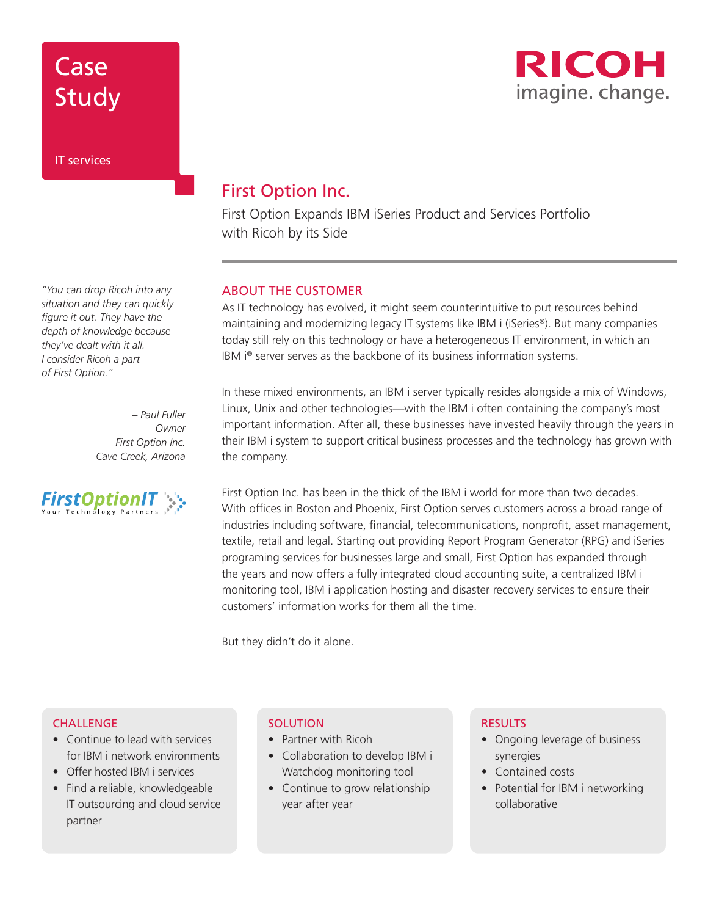## Case Study

## IT services

*"You can drop Ricoh into any situation and they can quickly figure it out. They have the depth of knowledge because they've dealt with it all. I consider Ricoh a part of First Option."* 

> *– Paul Fuller Owner First Option Inc. Cave Creek, Arizona*



## First Option Inc.

First Option Expands IBM iSeries Product and Services Portfolio with Ricoh by its Side

## ABOUT THE CUSTOMER

As IT technology has evolved, it might seem counterintuitive to put resources behind maintaining and modernizing legacy IT systems like IBM i (iSeries®). But many companies today still rely on this technology or have a heterogeneous IT environment, in which an IBM i® server serves as the backbone of its business information systems.

In these mixed environments, an IBM i server typically resides alongside a mix of Windows, Linux, Unix and other technologies—with the IBM i often containing the company's most important information. After all, these businesses have invested heavily through the years in their IBM i system to support critical business processes and the technology has grown with the company.

First Option Inc. has been in the thick of the IBM i world for more than two decades. With offices in Boston and Phoenix, First Option serves customers across a broad range of industries including software, financial, telecommunications, nonprofit, asset management, textile, retail and legal. Starting out providing Report Program Generator (RPG) and iSeries programing services for businesses large and small, First Option has expanded through the years and now offers a fully integrated cloud accounting suite, a centralized IBM i monitoring tool, IBM i application hosting and disaster recovery services to ensure their customers' information works for them all the time.

But they didn't do it alone.

### **CHALLENGE**

- Continue to lead with services for IBM i network environments
- Offer hosted IBM i services
- Find a reliable, knowledgeable IT outsourcing and cloud service partner

### **SOLUTION**

- Partner with Ricoh
- Collaboration to develop IBM i Watchdog monitoring tool
- Continue to grow relationship year after year

### RESULTS

- Ongoing leverage of business synergies
- Contained costs
- Potential for IBM i networking collaborative

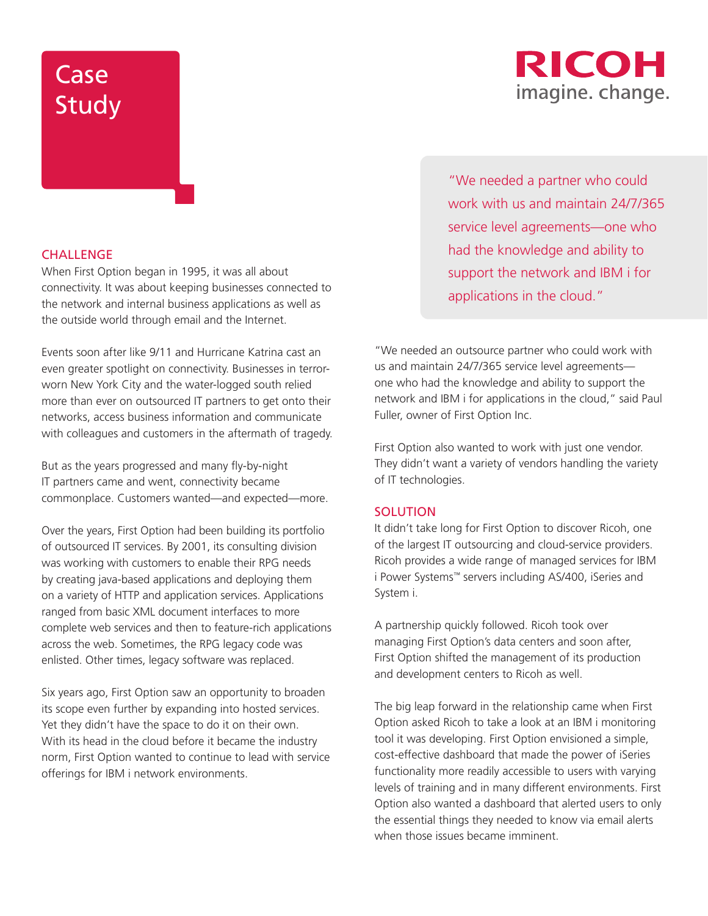## RICOH imagine. change.

## Case Study

## **CHALLENGE**

When First Option began in 1995, it was all about connectivity. It was about keeping businesses connected to the network and internal business applications as well as the outside world through email and the Internet.

Events soon after like 9/11 and Hurricane Katrina cast an even greater spotlight on connectivity. Businesses in terrorworn New York City and the water-logged south relied more than ever on outsourced IT partners to get onto their networks, access business information and communicate with colleagues and customers in the aftermath of tragedy.

But as the years progressed and many fly-by-night IT partners came and went, connectivity became commonplace. Customers wanted—and expected—more.

Over the years, First Option had been building its portfolio of outsourced IT services. By 2001, its consulting division was working with customers to enable their RPG needs by creating java-based applications and deploying them on a variety of HTTP and application services. Applications ranged from basic XML document interfaces to more complete web services and then to feature-rich applications across the web. Sometimes, the RPG legacy code was enlisted. Other times, legacy software was replaced.

Six years ago, First Option saw an opportunity to broaden its scope even further by expanding into hosted services. Yet they didn't have the space to do it on their own. With its head in the cloud before it became the industry norm, First Option wanted to continue to lead with service offerings for IBM i network environments.

"We needed a partner who could work with us and maintain 24/7/365 service level agreements—one who had the knowledge and ability to support the network and IBM i for applications in the cloud."

"We needed an outsource partner who could work with us and maintain 24/7/365 service level agreements one who had the knowledge and ability to support the network and IBM i for applications in the cloud," said Paul Fuller, owner of First Option Inc.

First Option also wanted to work with just one vendor. They didn't want a variety of vendors handling the variety of IT technologies.

### **SOLUTION**

It didn't take long for First Option to discover Ricoh, one of the largest IT outsourcing and cloud-service providers. Ricoh provides a wide range of managed services for IBM i Power Systems™ servers including AS/400, iSeries and System i.

A partnership quickly followed. Ricoh took over managing First Option's data centers and soon after, First Option shifted the management of its production and development centers to Ricoh as well.

The big leap forward in the relationship came when First Option asked Ricoh to take a look at an IBM i monitoring tool it was developing. First Option envisioned a simple, cost-effective dashboard that made the power of iSeries functionality more readily accessible to users with varying levels of training and in many different environments. First Option also wanted a dashboard that alerted users to only the essential things they needed to know via email alerts when those issues became imminent.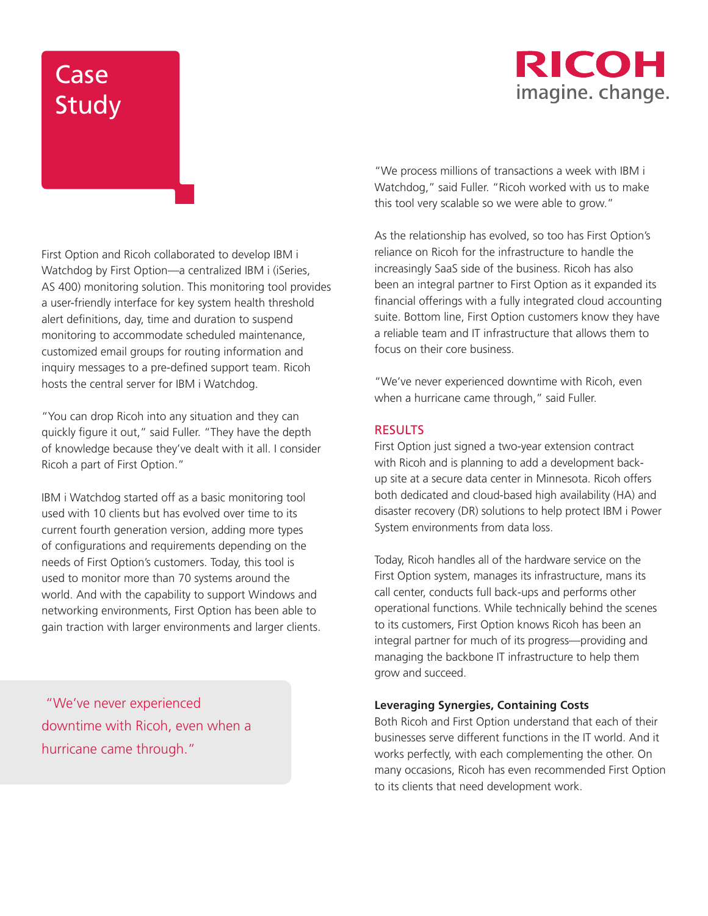## RICOH imagine. change.

# **Case** Study

First Option and Ricoh collaborated to develop IBM i Watchdog by First Option—a centralized IBM i (iSeries, AS 400) monitoring solution. This monitoring tool provides a user-friendly interface for key system health threshold alert definitions, day, time and duration to suspend monitoring to accommodate scheduled maintenance, customized email groups for routing information and inquiry messages to a pre-defined support team. Ricoh hosts the central server for IBM i Watchdog.

"You can drop Ricoh into any situation and they can quickly figure it out," said Fuller. "They have the depth of knowledge because they've dealt with it all. I consider Ricoh a part of First Option."

IBM i Watchdog started off as a basic monitoring tool used with 10 clients but has evolved over time to its current fourth generation version, adding more types of configurations and requirements depending on the needs of First Option's customers. Today, this tool is used to monitor more than 70 systems around the world. And with the capability to support Windows and networking environments, First Option has been able to gain traction with larger environments and larger clients.

 "We've never experienced downtime with Ricoh, even when a hurricane came through."

"We process millions of transactions a week with IBM i Watchdog," said Fuller. "Ricoh worked with us to make this tool very scalable so we were able to grow."

As the relationship has evolved, so too has First Option's reliance on Ricoh for the infrastructure to handle the increasingly SaaS side of the business. Ricoh has also been an integral partner to First Option as it expanded its financial offerings with a fully integrated cloud accounting suite. Bottom line, First Option customers know they have a reliable team and IT infrastructure that allows them to focus on their core business.

"We've never experienced downtime with Ricoh, even when a hurricane came through," said Fuller.

## RESULTS

First Option just signed a two-year extension contract with Ricoh and is planning to add a development backup site at a secure data center in Minnesota. Ricoh offers both dedicated and cloud-based high availability (HA) and disaster recovery (DR) solutions to help protect IBM i Power System environments from data loss.

Today, Ricoh handles all of the hardware service on the First Option system, manages its infrastructure, mans its call center, conducts full back-ups and performs other operational functions. While technically behind the scenes to its customers, First Option knows Ricoh has been an integral partner for much of its progress—providing and managing the backbone IT infrastructure to help them grow and succeed.

### **Leveraging Synergies, Containing Costs**

Both Ricoh and First Option understand that each of their businesses serve different functions in the IT world. And it works perfectly, with each complementing the other. On many occasions, Ricoh has even recommended First Option to its clients that need development work.